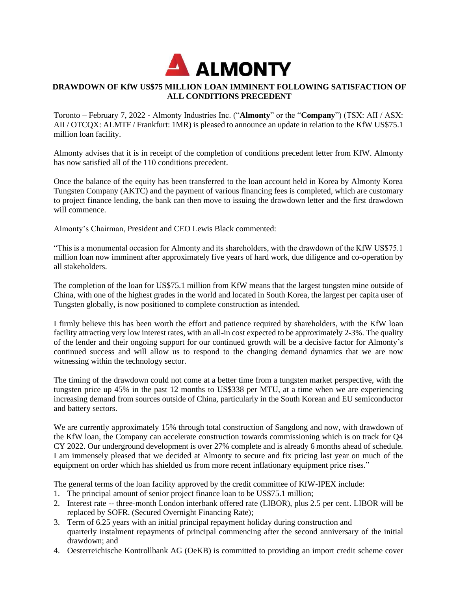

# **DRAWDOWN OF KfW US\$75 MILLION LOAN IMMINENT FOLLOWING SATISFACTION OF ALL CONDITIONS PRECEDENT**

Toronto – February 7, 2022 **-** Almonty Industries Inc. ("**Almonty**" or the "**Company**") (TSX: AII / ASX: AII / OTCQX: ALMTF / Frankfurt: 1MR) is pleased to announce an update in relation to the KfW US\$75.1 million loan facility.

Almonty advises that it is in receipt of the completion of conditions precedent letter from KfW. Almonty has now satisfied all of the 110 conditions precedent.

Once the balance of the equity has been transferred to the loan account held in Korea by Almonty Korea Tungsten Company (AKTC) and the payment of various financing fees is completed, which are customary to project finance lending, the bank can then move to issuing the drawdown letter and the first drawdown will commence.

Almonty's Chairman, President and CEO Lewis Black commented:

"This is a monumental occasion for Almonty and its shareholders, with the drawdown of the KfW US\$75.1 million loan now imminent after approximately five years of hard work, due diligence and co-operation by all stakeholders.

The completion of the loan for US\$75.1 million from KfW means that the largest tungsten mine outside of China, with one of the highest grades in the world and located in South Korea, the largest per capita user of Tungsten globally, is now positioned to complete construction as intended.

I firmly believe this has been worth the effort and patience required by shareholders, with the KfW loan facility attracting very low interest rates, with an all-in cost expected to be approximately 2-3%. The quality of the lender and their ongoing support for our continued growth will be a decisive factor for Almonty's continued success and will allow us to respond to the changing demand dynamics that we are now witnessing within the technology sector.

The timing of the drawdown could not come at a better time from a tungsten market perspective, with the tungsten price up 45% in the past 12 months to US\$338 per MTU, at a time when we are experiencing increasing demand from sources outside of China, particularly in the South Korean and EU semiconductor and battery sectors.

We are currently approximately 15% through total construction of Sangdong and now, with drawdown of the KfW loan, the Company can accelerate construction towards commissioning which is on track for Q4 CY 2022. Our underground development is over 27% complete and is already 6 months ahead of schedule. I am immensely pleased that we decided at Almonty to secure and fix pricing last year on much of the equipment on order which has shielded us from more recent inflationary equipment price rises."

The general terms of the loan facility approved by the credit committee of KfW-IPEX include:

- 1. The principal amount of senior project finance loan to be US\$75.1 million;
- 2. Interest rate -- three-month London interbank offered rate (LIBOR), plus 2.5 per cent. LIBOR will be replaced by SOFR. (Secured Overnight Financing Rate);
- 3. Term of 6.25 years with an initial principal repayment holiday during construction and quarterly instalment repayments of principal commencing after the second anniversary of the initial drawdown; and
- 4. Oesterreichische Kontrollbank AG (OeKB) is committed to providing an import credit scheme cover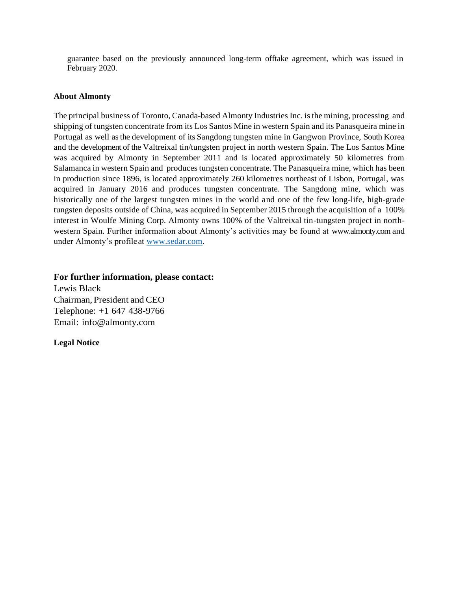guarantee based on the previously announced long-term offtake agreement, which was issued in February 2020.

### **About Almonty**

The principal business of Toronto, Canada-based Almonty Industries Inc. isthe mining, processing and shipping of tungsten concentrate from its Los Santos Mine in western Spain and its Panasqueira mine in Portugal as well asthe development of its Sangdong tungsten mine in Gangwon Province, South Korea and the development of the Valtreixal tin/tungsten project in north western Spain. The Los Santos Mine was acquired by Almonty in September 2011 and is located approximately 50 kilometres from Salamanca in western Spain and produces tungsten concentrate. The Panasqueira mine, which has been in production since 1896, is located approximately 260 kilometres northeast of Lisbon, Portugal, was acquired in January 2016 and produces tungsten concentrate. The Sangdong mine, which was historically one of the largest tungsten mines in the world and one of the few long-life, high-grade tungsten deposits outside of China, was acquired in September 2015 through the acquisition of a 100% interest in Woulfe Mining Corp. Almonty owns 100% of the Valtreixal tin-tungsten project in northwestern Spain. Further information about Almonty's activities may be found at [www.almonty.com a](http://www.almonty.com/)nd under Almonty's profileat [www.sedar.com.](http://www.sedar.com/)

### **For further information, please contact:**

Lewis Black Chairman, President and CEO Telephone: +1 647 438-9766 Email: [info@almonty.com](mailto:info@almonty.com)

## **Legal Notice**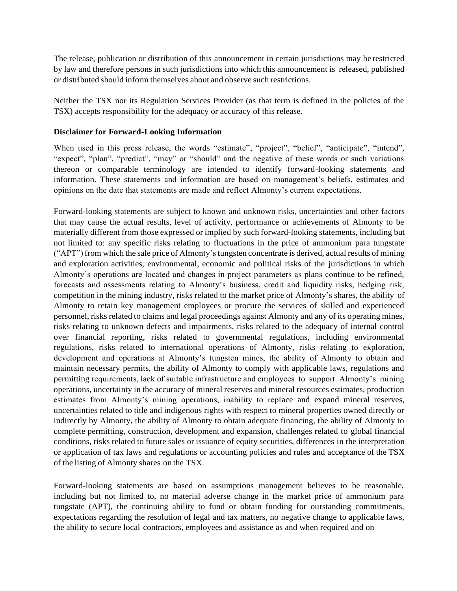The release, publication or distribution of this announcement in certain jurisdictions may be restricted by law and therefore persons in such jurisdictions into which this announcement is released, published or distributed should inform themselves about and observe such restrictions.

Neither the TSX nor its Regulation Services Provider (as that term is defined in the policies of the TSX) accepts responsibility for the adequacy or accuracy of this release.

## **Disclaimer for Forward-Looking Information**

When used in this press release, the words "estimate", "project", "belief", "anticipate", "intend", "expect", "plan", "predict", "may" or "should" and the negative of these words or such variations thereon or comparable terminology are intended to identify forward-looking statements and information. These statements and information are based on management's beliefs, estimates and opinions on the date that statements are made and reflect Almonty's current expectations.

Forward-looking statements are subject to known and unknown risks, uncertainties and other factors that may cause the actual results, level of activity, performance or achievements of Almonty to be materially different from those expressed or implied by such forward-looking statements, including but not limited to: any specific risks relating to fluctuations in the price of ammonium para tungstate ("APT") from which the sale price of Almonty'stungsten concentrate is derived, actual results of mining and exploration activities, environmental, economic and political risks of the jurisdictions in which Almonty's operations are located and changes in project parameters as plans continue to be refined, forecasts and assessments relating to Almonty's business, credit and liquidity risks, hedging risk, competition in the mining industry, risks related to the market price of Almonty's shares, the ability of Almonty to retain key management employees or procure the services of skilled and experienced personnel, risks related to claims and legal proceedings against Almonty and any of its operating mines, risks relating to unknown defects and impairments, risks related to the adequacy of internal control over financial reporting, risks related to governmental regulations, including environmental regulations, risks related to international operations of Almonty, risks relating to exploration, development and operations at Almonty's tungsten mines, the ability of Almonty to obtain and maintain necessary permits, the ability of Almonty to comply with applicable laws, regulations and permitting requirements, lack of suitable infrastructure and employees to support Almonty's mining operations, uncertainty in the accuracy of mineral reserves and mineral resources estimates, production estimates from Almonty's mining operations, inability to replace and expand mineral reserves, uncertainties related to title and indigenous rights with respect to mineral properties owned directly or indirectly by Almonty, the ability of Almonty to obtain adequate financing, the ability of Almonty to complete permitting, construction, development and expansion, challenges related to global financial conditions, risks related to future sales or issuance of equity securities, differences in the interpretation or application of tax laws and regulations or accounting policies and rules and acceptance of the TSX of the listing of Almonty shares on the TSX.

Forward-looking statements are based on assumptions management believes to be reasonable, including but not limited to, no material adverse change in the market price of ammonium para tungstate (APT), the continuing ability to fund or obtain funding for outstanding commitments, expectations regarding the resolution of legal and tax matters, no negative change to applicable laws, the ability to secure local contractors, employees and assistance as and when required and on